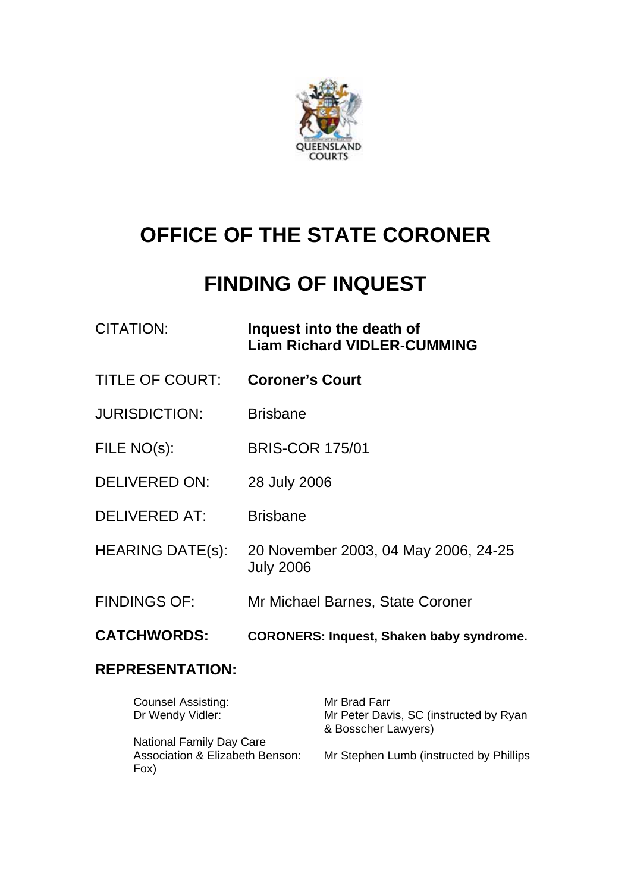

# **OFFICE OF THE STATE CORONER**

## **FINDING OF INQUEST**

| CITATION: | Inquest into the death of          |
|-----------|------------------------------------|
|           | <b>Liam Richard VIDLER-CUMMING</b> |

- TITLE OF COURT: **Coroner's Court**
- JURISDICTION: Brisbane
- FILE NO(s): BRIS-COR 175/01
- DELIVERED ON: 28 July 2006
- DELIVERED AT: Brisbane
- HEARING DATE(s): 20 November 2003, 04 May 2006, 24-25 July 2006
- FINDINGS OF: Mr Michael Barnes, State Coroner
- **CATCHWORDS: CORONERS: Inquest, Shaken baby syndrome.**

## **REPRESENTATION:**

| <b>Counsel Assisting:</b><br>Dr Wendy Vidler:                              | Mr Brad Farr<br>Mr Peter Davis, SC (instructed by Ryan<br>& Bosscher Lawyers) |
|----------------------------------------------------------------------------|-------------------------------------------------------------------------------|
| <b>National Family Day Care</b><br>Association & Elizabeth Benson:<br>Fox) | Mr Stephen Lumb (instructed by Phillips                                       |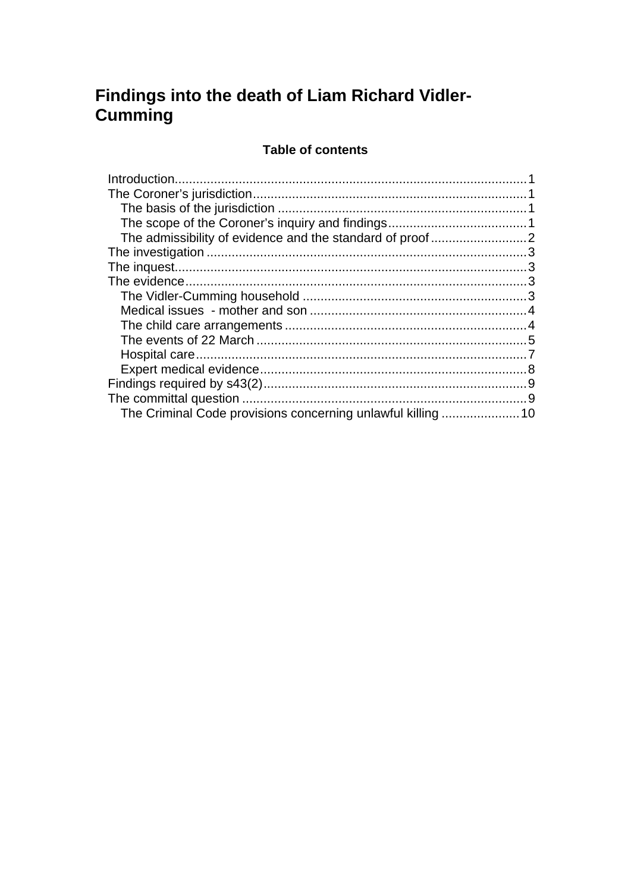## Findings into the death of Liam Richard Vidler-Cumming

## **Table of contents**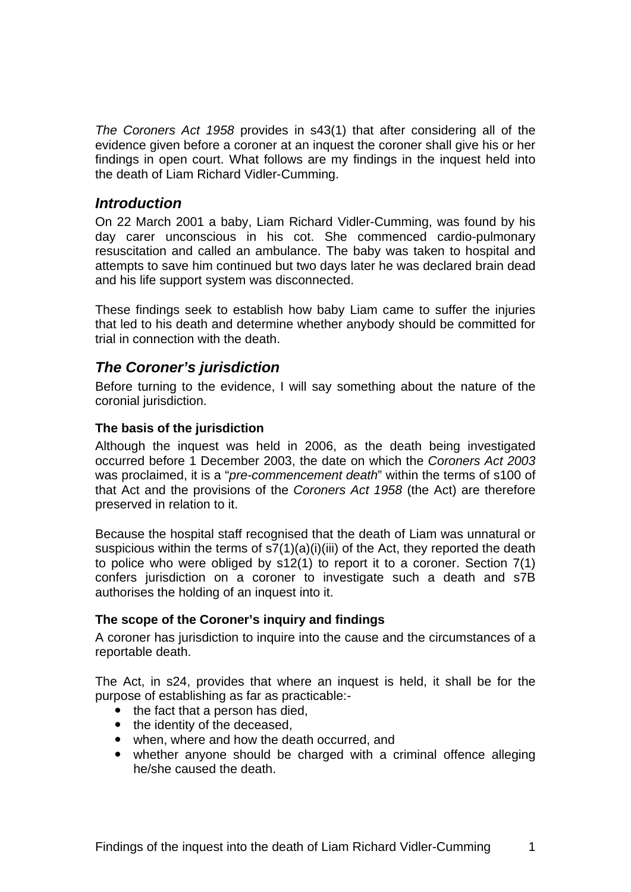*The Coroners Act 1958* provides in s43(1) that after considering all of the evidence given before a coroner at an inquest the coroner shall give his or her findings in open court. What follows are my findings in the inquest held into the death of Liam Richard Vidler-Cumming.

### *Introduction*

On 22 March 2001 a baby, Liam Richard Vidler-Cumming, was found by his day carer unconscious in his cot. She commenced cardio-pulmonary resuscitation and called an ambulance. The baby was taken to hospital and attempts to save him continued but two days later he was declared brain dead and his life support system was disconnected.

These findings seek to establish how baby Liam came to suffer the injuries that led to his death and determine whether anybody should be committed for trial in connection with the death.

## *The Coroner's jurisdiction*

Before turning to the evidence, I will say something about the nature of the coronial jurisdiction.

#### **The basis of the jurisdiction**

Although the inquest was held in 2006, as the death being investigated occurred before 1 December 2003, the date on which the *Coroners Act 2003* was proclaimed, it is a "*pre-commencement death*" within the terms of s100 of that Act and the provisions of the *Coroners Act 1958* (the Act) are therefore preserved in relation to it.

Because the hospital staff recognised that the death of Liam was unnatural or suspicious within the terms of  $s7(1)(a)(i)(iii)$  of the Act, they reported the death to police who were obliged by s12(1) to report it to a coroner. Section 7(1) confers jurisdiction on a coroner to investigate such a death and s7B authorises the holding of an inquest into it.

#### **The scope of the Coroner's inquiry and findings**

A coroner has jurisdiction to inquire into the cause and the circumstances of a reportable death.

The Act, in s24, provides that where an inquest is held, it shall be for the purpose of establishing as far as practicable:-

- $\bullet$  the fact that a person has died,
- the identity of the deceased.
- when, where and how the death occurred, and
- whether anyone should be charged with a criminal offence alleging he/she caused the death.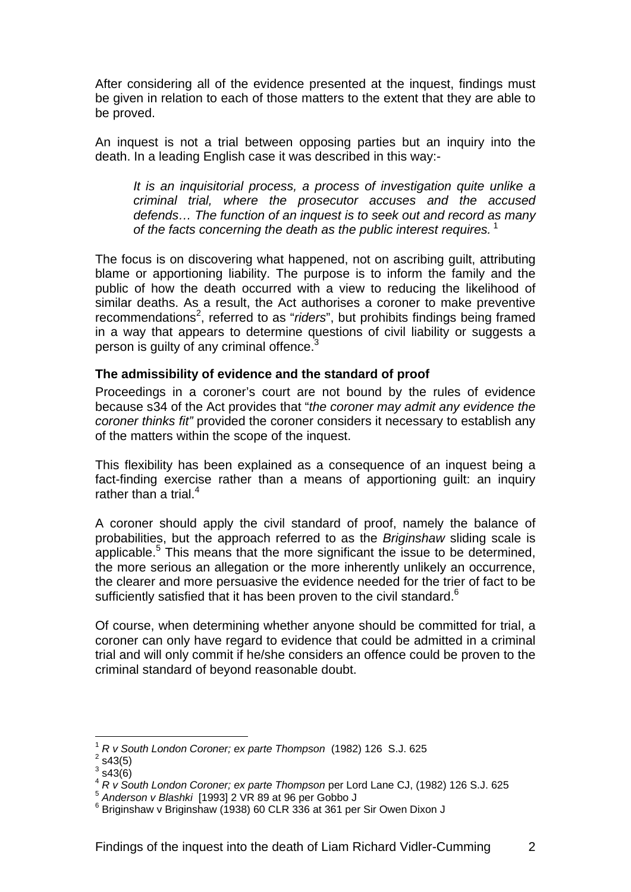After considering all of the evidence presented at the inquest, findings must be given in relation to each of those matters to the extent that they are able to be proved.

An inquest is not a trial between opposing parties but an inquiry into the death. In a leading English case it was described in this way:-

*It is an inquisitorial process, a process of investigation quite unlike a criminal trial, where the prosecutor accuses and the accused defends… The function of an inquest is to seek out and record as many of the facts concerning the death as the public interest requires.*<sup>1</sup>

The focus is on discovering what happened, not on ascribing guilt, attributing blame or apportioning liability. The purpose is to inform the family and the public of how the death occurred with a view to reducing the likelihood of similar deaths. As a result, the Act authorises a coroner to make preventive recommendations<sup>2</sup>, referred to as "*riders*", but prohibits findings being framed in a way that appears to determine questions of civil liability or suggests a person is quilty of any criminal offence.<sup>3</sup>

#### **The admissibility of evidence and the standard of proof**

Proceedings in a coroner's court are not bound by the rules of evidence because s34 of the Act provides that "*the coroner may admit any evidence the coroner thinks fit"* provided the coroner considers it necessary to establish any of the matters within the scope of the inquest.

This flexibility has been explained as a consequence of an inquest being a fact-finding exercise rather than a means of apportioning guilt: an inquiry rather than a trial.<sup>4</sup>

A coroner should apply the civil standard of proof, namely the balance of probabilities, but the approach referred to as the *Briginshaw* sliding scale is applicable.<sup>5</sup> This means that the more significant the issue to be determined, the more serious an allegation or the more inherently unlikely an occurrence, the clearer and more persuasive the evidence needed for the trier of fact to be sufficiently satisfied that it has been proven to the civil standard. $6$ 

Of course, when determining whether anyone should be committed for trial, a coroner can only have regard to evidence that could be admitted in a criminal trial and will only commit if he/she considers an offence could be proven to the criminal standard of beyond reasonable doubt.

l

<sup>1</sup> *R v South London Coroner; ex parte Thompson* (1982) 126 S.J. 625 2

 $2$  s43(5)

 $3$  s43(6)

<sup>&</sup>lt;sup>4</sup> *R v South London Coroner; ex parte Thompson* per Lord Lane CJ, (1982) 126 S.J. 625<br>
<sup>5</sup> Anderson v Blashki [1993] 2 VR 89 at 96 per Gobbo J

 $6$  Briginshaw v Briginshaw (1938) 60 CLR 336 at 361 per Sir Owen Dixon J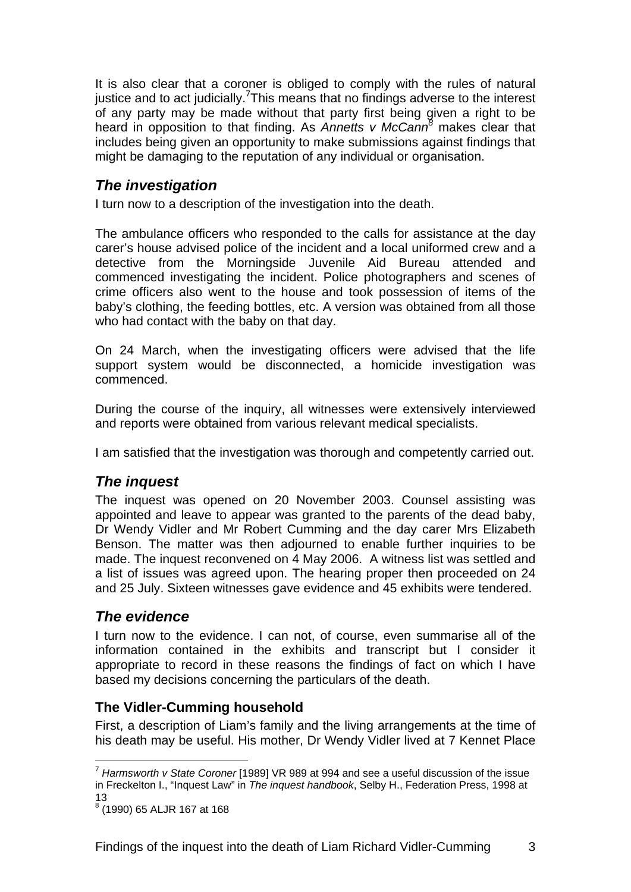It is also clear that a coroner is obliged to comply with the rules of natural justice and to act judicially.<sup>7</sup>This means that no findings adverse to the interest of any party may be made without that party first being given a right to be heard in opposition to that finding. As *Annetts v McCann<sup>8</sup>* makes clear that includes being given an opportunity to make submissions against findings that might be damaging to the reputation of any individual or organisation.

## *The investigation*

I turn now to a description of the investigation into the death.

The ambulance officers who responded to the calls for assistance at the day carer's house advised police of the incident and a local uniformed crew and a detective from the Morningside Juvenile Aid Bureau attended and commenced investigating the incident. Police photographers and scenes of crime officers also went to the house and took possession of items of the baby's clothing, the feeding bottles, etc. A version was obtained from all those who had contact with the baby on that day.

On 24 March, when the investigating officers were advised that the life support system would be disconnected, a homicide investigation was commenced.

During the course of the inquiry, all witnesses were extensively interviewed and reports were obtained from various relevant medical specialists.

I am satisfied that the investigation was thorough and competently carried out.

## *The inquest*

The inquest was opened on 20 November 2003. Counsel assisting was appointed and leave to appear was granted to the parents of the dead baby, Dr Wendy Vidler and Mr Robert Cumming and the day carer Mrs Elizabeth Benson. The matter was then adjourned to enable further inquiries to be made. The inquest reconvened on 4 May 2006. A witness list was settled and a list of issues was agreed upon. The hearing proper then proceeded on 24 and 25 July. Sixteen witnesses gave evidence and 45 exhibits were tendered.

## *The evidence*

I turn now to the evidence. I can not, of course, even summarise all of the information contained in the exhibits and transcript but I consider it appropriate to record in these reasons the findings of fact on which I have based my decisions concerning the particulars of the death.

## **The Vidler-Cumming household**

First, a description of Liam's family and the living arrangements at the time of his death may be useful. His mother, Dr Wendy Vidler lived at 7 Kennet Place

l

<sup>7</sup> *Harmsworth v State Coroner* [1989] VR 989 at 994 and see a useful discussion of the issue in Freckelton I., "Inquest Law" in *The inquest handbook*, Selby H., Federation Press, 1998 at 13

<sup>8</sup> (1990) 65 ALJR 167 at 168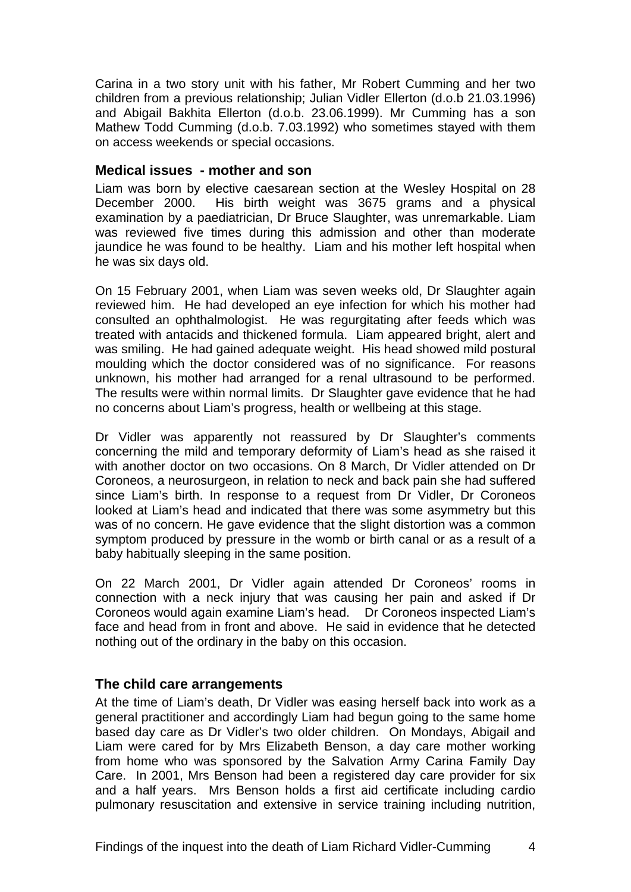Carina in a two story unit with his father, Mr Robert Cumming and her two children from a previous relationship; Julian Vidler Ellerton (d.o.b 21.03.1996) and Abigail Bakhita Ellerton (d.o.b. 23.06.1999). Mr Cumming has a son Mathew Todd Cumming (d.o.b. 7.03.1992) who sometimes stayed with them on access weekends or special occasions.

#### **Medical issues - mother and son**

Liam was born by elective caesarean section at the Wesley Hospital on 28 December 2000. His birth weight was 3675 grams and a physical examination by a paediatrician, Dr Bruce Slaughter, was unremarkable. Liam was reviewed five times during this admission and other than moderate iaundice he was found to be healthy. Liam and his mother left hospital when he was six days old.

On 15 February 2001, when Liam was seven weeks old, Dr Slaughter again reviewed him. He had developed an eye infection for which his mother had consulted an ophthalmologist. He was regurgitating after feeds which was treated with antacids and thickened formula. Liam appeared bright, alert and was smiling. He had gained adequate weight. His head showed mild postural moulding which the doctor considered was of no significance. For reasons unknown, his mother had arranged for a renal ultrasound to be performed. The results were within normal limits. Dr Slaughter gave evidence that he had no concerns about Liam's progress, health or wellbeing at this stage.

Dr Vidler was apparently not reassured by Dr Slaughter's comments concerning the mild and temporary deformity of Liam's head as she raised it with another doctor on two occasions. On 8 March, Dr Vidler attended on Dr Coroneos, a neurosurgeon, in relation to neck and back pain she had suffered since Liam's birth. In response to a request from Dr Vidler, Dr Coroneos looked at Liam's head and indicated that there was some asymmetry but this was of no concern. He gave evidence that the slight distortion was a common symptom produced by pressure in the womb or birth canal or as a result of a baby habitually sleeping in the same position.

On 22 March 2001, Dr Vidler again attended Dr Coroneos' rooms in connection with a neck injury that was causing her pain and asked if Dr Coroneos would again examine Liam's head. Dr Coroneos inspected Liam's face and head from in front and above. He said in evidence that he detected nothing out of the ordinary in the baby on this occasion.

#### **The child care arrangements**

At the time of Liam's death, Dr Vidler was easing herself back into work as a general practitioner and accordingly Liam had begun going to the same home based day care as Dr Vidler's two older children. On Mondays, Abigail and Liam were cared for by Mrs Elizabeth Benson, a day care mother working from home who was sponsored by the Salvation Army Carina Family Day Care. In 2001, Mrs Benson had been a registered day care provider for six and a half years. Mrs Benson holds a first aid certificate including cardio pulmonary resuscitation and extensive in service training including nutrition,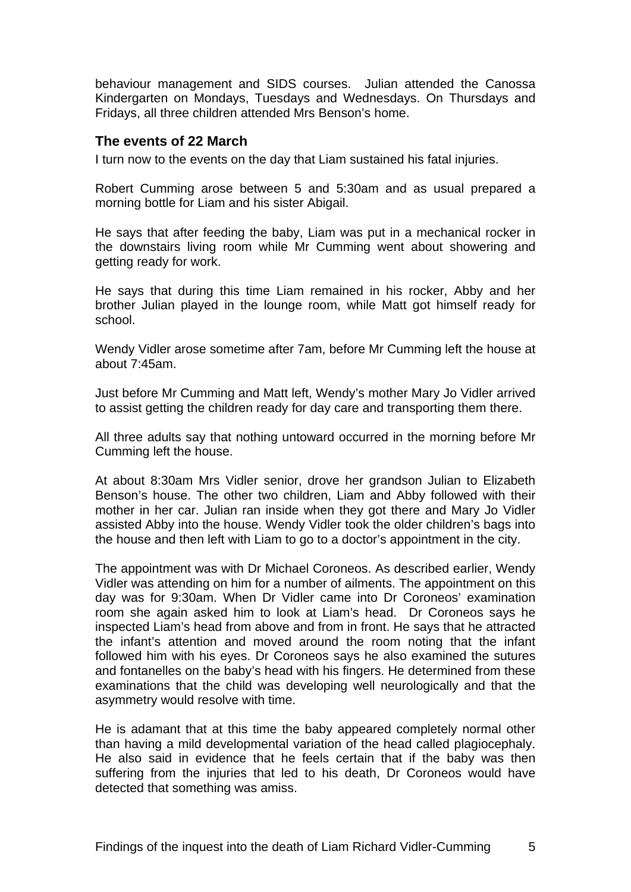behaviour management and SIDS courses. Julian attended the Canossa Kindergarten on Mondays, Tuesdays and Wednesdays. On Thursdays and Fridays, all three children attended Mrs Benson's home.

#### **The events of 22 March**

I turn now to the events on the day that Liam sustained his fatal injuries.

Robert Cumming arose between 5 and 5:30am and as usual prepared a morning bottle for Liam and his sister Abigail.

He says that after feeding the baby, Liam was put in a mechanical rocker in the downstairs living room while Mr Cumming went about showering and getting ready for work.

He says that during this time Liam remained in his rocker, Abby and her brother Julian played in the lounge room, while Matt got himself ready for school.

Wendy Vidler arose sometime after 7am, before Mr Cumming left the house at about 7:45am.

Just before Mr Cumming and Matt left, Wendy's mother Mary Jo Vidler arrived to assist getting the children ready for day care and transporting them there.

All three adults say that nothing untoward occurred in the morning before Mr Cumming left the house.

At about 8:30am Mrs Vidler senior, drove her grandson Julian to Elizabeth Benson's house. The other two children, Liam and Abby followed with their mother in her car. Julian ran inside when they got there and Mary Jo Vidler assisted Abby into the house. Wendy Vidler took the older children's bags into the house and then left with Liam to go to a doctor's appointment in the city.

The appointment was with Dr Michael Coroneos. As described earlier, Wendy Vidler was attending on him for a number of ailments. The appointment on this day was for 9:30am. When Dr Vidler came into Dr Coroneos' examination room she again asked him to look at Liam's head. Dr Coroneos says he inspected Liam's head from above and from in front. He says that he attracted the infant's attention and moved around the room noting that the infant followed him with his eyes. Dr Coroneos says he also examined the sutures and fontanelles on the baby's head with his fingers. He determined from these examinations that the child was developing well neurologically and that the asymmetry would resolve with time.

He is adamant that at this time the baby appeared completely normal other than having a mild developmental variation of the head called plagiocephaly. He also said in evidence that he feels certain that if the baby was then suffering from the injuries that led to his death, Dr Coroneos would have detected that something was amiss.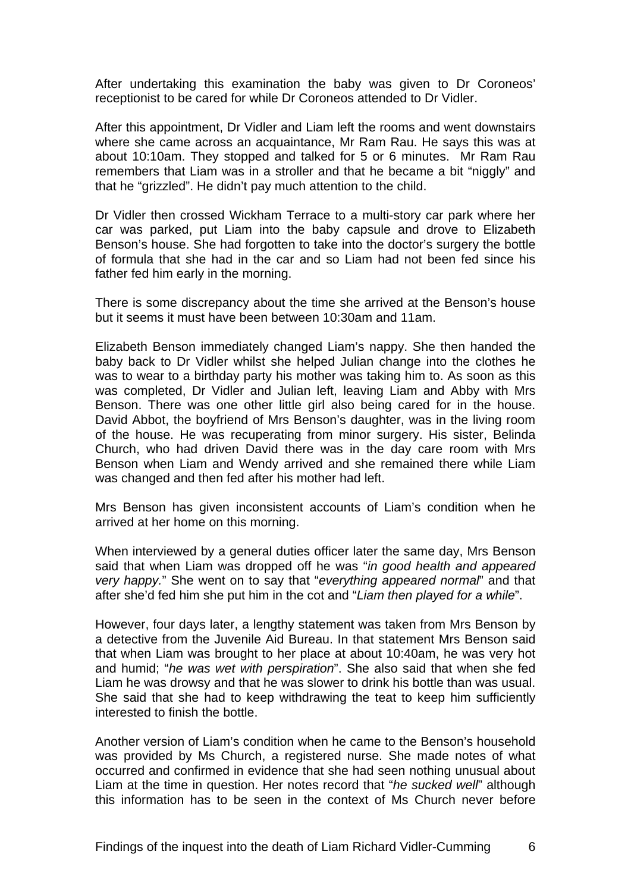After undertaking this examination the baby was given to Dr Coroneos' receptionist to be cared for while Dr Coroneos attended to Dr Vidler.

After this appointment, Dr Vidler and Liam left the rooms and went downstairs where she came across an acquaintance, Mr Ram Rau. He says this was at about 10:10am. They stopped and talked for 5 or 6 minutes. Mr Ram Rau remembers that Liam was in a stroller and that he became a bit "niggly" and that he "grizzled". He didn't pay much attention to the child.

Dr Vidler then crossed Wickham Terrace to a multi-story car park where her car was parked, put Liam into the baby capsule and drove to Elizabeth Benson's house. She had forgotten to take into the doctor's surgery the bottle of formula that she had in the car and so Liam had not been fed since his father fed him early in the morning.

There is some discrepancy about the time she arrived at the Benson's house but it seems it must have been between 10:30am and 11am.

Elizabeth Benson immediately changed Liam's nappy. She then handed the baby back to Dr Vidler whilst she helped Julian change into the clothes he was to wear to a birthday party his mother was taking him to. As soon as this was completed, Dr Vidler and Julian left, leaving Liam and Abby with Mrs Benson. There was one other little girl also being cared for in the house. David Abbot, the boyfriend of Mrs Benson's daughter, was in the living room of the house. He was recuperating from minor surgery. His sister, Belinda Church, who had driven David there was in the day care room with Mrs Benson when Liam and Wendy arrived and she remained there while Liam was changed and then fed after his mother had left.

Mrs Benson has given inconsistent accounts of Liam's condition when he arrived at her home on this morning.

When interviewed by a general duties officer later the same day, Mrs Benson said that when Liam was dropped off he was "*in good health and appeared very happy.*" She went on to say that "*everything appeared normal*" and that after she'd fed him she put him in the cot and "*Liam then played for a while*".

However, four days later, a lengthy statement was taken from Mrs Benson by a detective from the Juvenile Aid Bureau. In that statement Mrs Benson said that when Liam was brought to her place at about 10:40am, he was very hot and humid; "*he was wet with perspiration*". She also said that when she fed Liam he was drowsy and that he was slower to drink his bottle than was usual. She said that she had to keep withdrawing the teat to keep him sufficiently interested to finish the bottle.

Another version of Liam's condition when he came to the Benson's household was provided by Ms Church, a registered nurse. She made notes of what occurred and confirmed in evidence that she had seen nothing unusual about Liam at the time in question. Her notes record that "*he sucked well*" although this information has to be seen in the context of Ms Church never before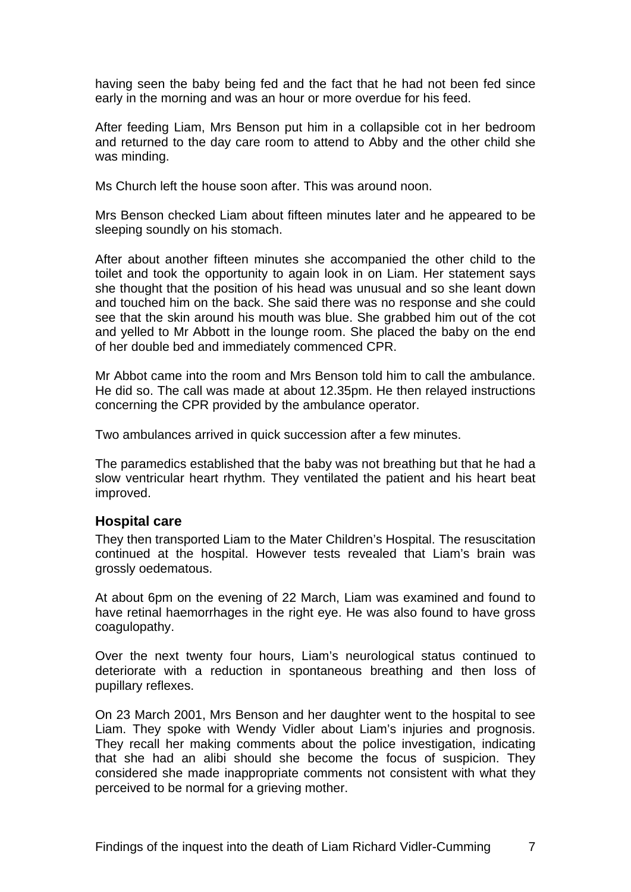having seen the baby being fed and the fact that he had not been fed since early in the morning and was an hour or more overdue for his feed.

After feeding Liam, Mrs Benson put him in a collapsible cot in her bedroom and returned to the day care room to attend to Abby and the other child she was minding.

Ms Church left the house soon after. This was around noon.

Mrs Benson checked Liam about fifteen minutes later and he appeared to be sleeping soundly on his stomach.

After about another fifteen minutes she accompanied the other child to the toilet and took the opportunity to again look in on Liam. Her statement says she thought that the position of his head was unusual and so she leant down and touched him on the back. She said there was no response and she could see that the skin around his mouth was blue. She grabbed him out of the cot and yelled to Mr Abbott in the lounge room. She placed the baby on the end of her double bed and immediately commenced CPR.

Mr Abbot came into the room and Mrs Benson told him to call the ambulance. He did so. The call was made at about 12.35pm. He then relayed instructions concerning the CPR provided by the ambulance operator.

Two ambulances arrived in quick succession after a few minutes.

The paramedics established that the baby was not breathing but that he had a slow ventricular heart rhythm. They ventilated the patient and his heart beat improved.

#### **Hospital care**

They then transported Liam to the Mater Children's Hospital. The resuscitation continued at the hospital. However tests revealed that Liam's brain was grossly oedematous.

At about 6pm on the evening of 22 March, Liam was examined and found to have retinal haemorrhages in the right eye. He was also found to have gross coagulopathy.

Over the next twenty four hours, Liam's neurological status continued to deteriorate with a reduction in spontaneous breathing and then loss of pupillary reflexes.

On 23 March 2001, Mrs Benson and her daughter went to the hospital to see Liam. They spoke with Wendy Vidler about Liam's injuries and prognosis. They recall her making comments about the police investigation, indicating that she had an alibi should she become the focus of suspicion. They considered she made inappropriate comments not consistent with what they perceived to be normal for a grieving mother.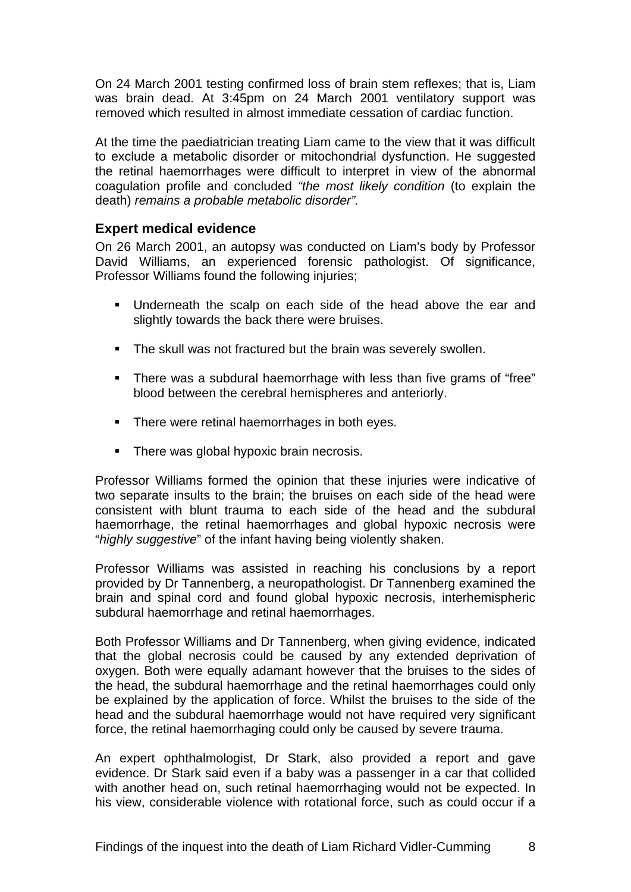On 24 March 2001 testing confirmed loss of brain stem reflexes; that is, Liam was brain dead. At 3:45pm on 24 March 2001 ventilatory support was removed which resulted in almost immediate cessation of cardiac function.

At the time the paediatrician treating Liam came to the view that it was difficult to exclude a metabolic disorder or mitochondrial dysfunction. He suggested the retinal haemorrhages were difficult to interpret in view of the abnormal coagulation profile and concluded *"the most likely condition* (to explain the death) *remains a probable metabolic disorder".* 

#### **Expert medical evidence**

On 26 March 2001, an autopsy was conducted on Liam's body by Professor David Williams, an experienced forensic pathologist. Of significance, Professor Williams found the following injuries;

- Underneath the scalp on each side of the head above the ear and slightly towards the back there were bruises.
- **The skull was not fractured but the brain was severely swollen.**
- There was a subdural haemorrhage with less than five grams of "free" blood between the cerebral hemispheres and anteriorly.
- **There were retinal haemorrhages in both eyes.**
- There was global hypoxic brain necrosis.

Professor Williams formed the opinion that these injuries were indicative of two separate insults to the brain; the bruises on each side of the head were consistent with blunt trauma to each side of the head and the subdural haemorrhage, the retinal haemorrhages and global hypoxic necrosis were "*highly suggestive*" of the infant having being violently shaken.

Professor Williams was assisted in reaching his conclusions by a report provided by Dr Tannenberg, a neuropathologist. Dr Tannenberg examined the brain and spinal cord and found global hypoxic necrosis, interhemispheric subdural haemorrhage and retinal haemorrhages.

Both Professor Williams and Dr Tannenberg, when giving evidence, indicated that the global necrosis could be caused by any extended deprivation of oxygen. Both were equally adamant however that the bruises to the sides of the head, the subdural haemorrhage and the retinal haemorrhages could only be explained by the application of force. Whilst the bruises to the side of the head and the subdural haemorrhage would not have required very significant force, the retinal haemorrhaging could only be caused by severe trauma.

An expert ophthalmologist, Dr Stark, also provided a report and gave evidence. Dr Stark said even if a baby was a passenger in a car that collided with another head on, such retinal haemorrhaging would not be expected. In his view, considerable violence with rotational force, such as could occur if a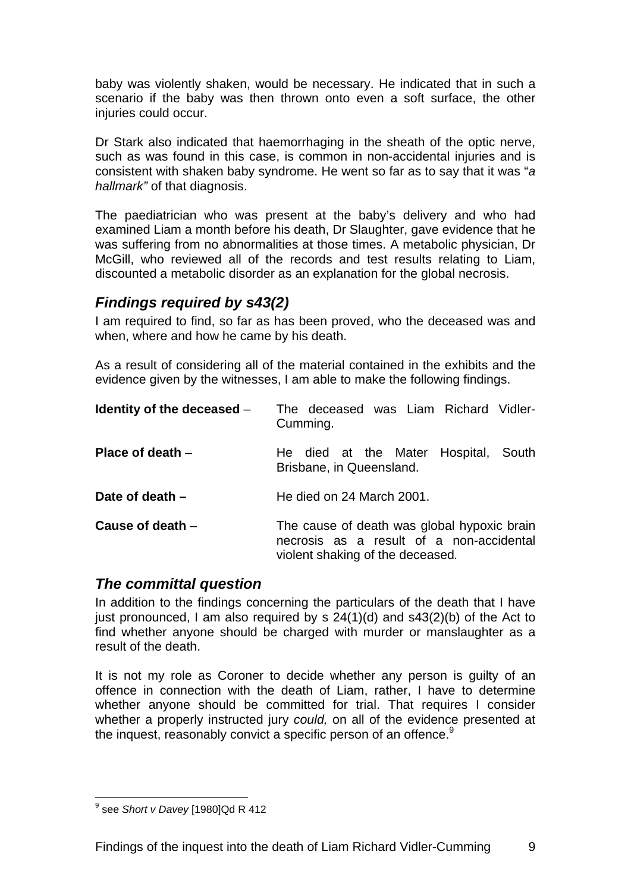baby was violently shaken, would be necessary. He indicated that in such a scenario if the baby was then thrown onto even a soft surface, the other injuries could occur.

Dr Stark also indicated that haemorrhaging in the sheath of the optic nerve, such as was found in this case, is common in non-accidental injuries and is consistent with shaken baby syndrome. He went so far as to say that it was "*a hallmark"* of that diagnosis.

The paediatrician who was present at the baby's delivery and who had examined Liam a month before his death, Dr Slaughter, gave evidence that he was suffering from no abnormalities at those times. A metabolic physician, Dr McGill, who reviewed all of the records and test results relating to Liam, discounted a metabolic disorder as an explanation for the global necrosis.

## *Findings required by s43(2)*

I am required to find, so far as has been proved, who the deceased was and when, where and how he came by his death.

As a result of considering all of the material contained in the exhibits and the evidence given by the witnesses, I am able to make the following findings.

| Identity of the deceased $-$ | The deceased was Liam Richard Vidler-<br>Cumming.                                                                           |
|------------------------------|-----------------------------------------------------------------------------------------------------------------------------|
| Place of death $-$           | He died at the Mater Hospital, South<br>Brisbane, in Queensland.                                                            |
| Date of death $-$            | He died on 24 March 2001.                                                                                                   |
| Cause of death $-$           | The cause of death was global hypoxic brain<br>necrosis as a result of a non-accidental<br>violent shaking of the deceased. |

## *The committal question*

In addition to the findings concerning the particulars of the death that I have just pronounced, I am also required by s 24(1)(d) and s43(2)(b) of the Act to find whether anyone should be charged with murder or manslaughter as a result of the death.

It is not my role as Coroner to decide whether any person is guilty of an offence in connection with the death of Liam, rather, I have to determine whether anyone should be committed for trial. That requires I consider whether a properly instructed jury *could,* on all of the evidence presented at the inquest, reasonably convict a specific person of an offence.<sup>9</sup>

 9 see *Short v Davey* [1980]Qd R 412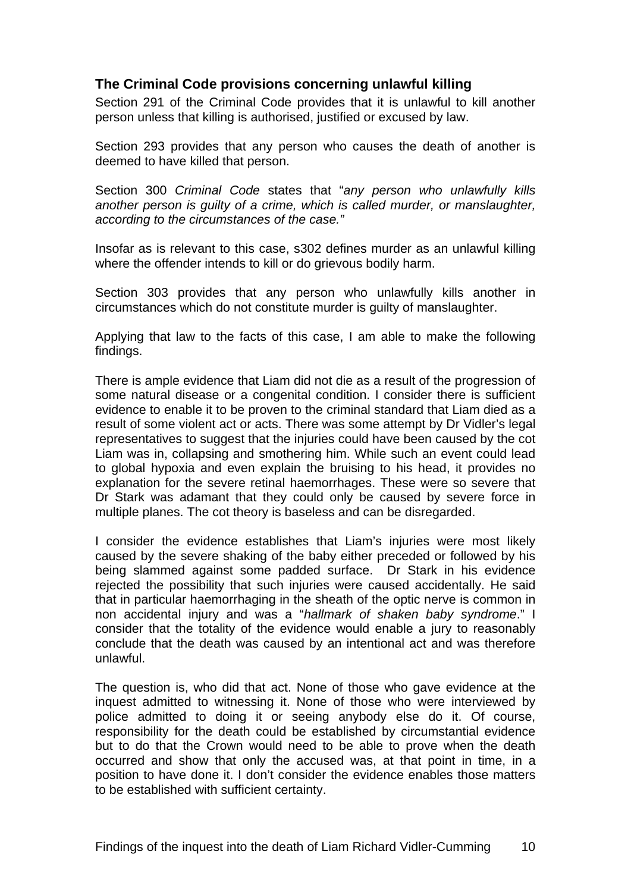#### **The Criminal Code provisions concerning unlawful killing**

Section 291 of the Criminal Code provides that it is unlawful to kill another person unless that killing is authorised, justified or excused by law.

Section 293 provides that any person who causes the death of another is deemed to have killed that person.

Section 300 *Criminal Code* states that "*any person who unlawfully kills another person is guilty of a crime, which is called murder, or manslaughter, according to the circumstances of the case."* 

Insofar as is relevant to this case, s302 defines murder as an unlawful killing where the offender intends to kill or do grievous bodily harm.

Section 303 provides that any person who unlawfully kills another in circumstances which do not constitute murder is guilty of manslaughter.

Applying that law to the facts of this case, I am able to make the following findings.

There is ample evidence that Liam did not die as a result of the progression of some natural disease or a congenital condition. I consider there is sufficient evidence to enable it to be proven to the criminal standard that Liam died as a result of some violent act or acts. There was some attempt by Dr Vidler's legal representatives to suggest that the injuries could have been caused by the cot Liam was in, collapsing and smothering him. While such an event could lead to global hypoxia and even explain the bruising to his head, it provides no explanation for the severe retinal haemorrhages. These were so severe that Dr Stark was adamant that they could only be caused by severe force in multiple planes. The cot theory is baseless and can be disregarded.

I consider the evidence establishes that Liam's injuries were most likely caused by the severe shaking of the baby either preceded or followed by his being slammed against some padded surface. Dr Stark in his evidence rejected the possibility that such injuries were caused accidentally. He said that in particular haemorrhaging in the sheath of the optic nerve is common in non accidental injury and was a "*hallmark of shaken baby syndrome*." I consider that the totality of the evidence would enable a jury to reasonably conclude that the death was caused by an intentional act and was therefore unlawful.

The question is, who did that act. None of those who gave evidence at the inquest admitted to witnessing it. None of those who were interviewed by police admitted to doing it or seeing anybody else do it. Of course, responsibility for the death could be established by circumstantial evidence but to do that the Crown would need to be able to prove when the death occurred and show that only the accused was, at that point in time, in a position to have done it. I don't consider the evidence enables those matters to be established with sufficient certainty.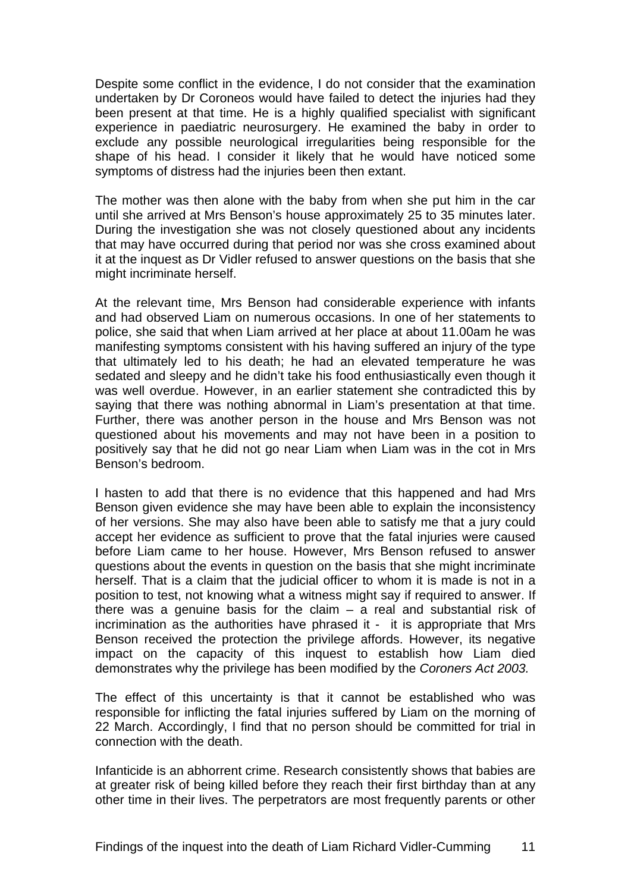Despite some conflict in the evidence, I do not consider that the examination undertaken by Dr Coroneos would have failed to detect the injuries had they been present at that time. He is a highly qualified specialist with significant experience in paediatric neurosurgery. He examined the baby in order to exclude any possible neurological irregularities being responsible for the shape of his head. I consider it likely that he would have noticed some symptoms of distress had the injuries been then extant.

The mother was then alone with the baby from when she put him in the car until she arrived at Mrs Benson's house approximately 25 to 35 minutes later. During the investigation she was not closely questioned about any incidents that may have occurred during that period nor was she cross examined about it at the inquest as Dr Vidler refused to answer questions on the basis that she might incriminate herself.

At the relevant time, Mrs Benson had considerable experience with infants and had observed Liam on numerous occasions. In one of her statements to police, she said that when Liam arrived at her place at about 11.00am he was manifesting symptoms consistent with his having suffered an injury of the type that ultimately led to his death; he had an elevated temperature he was sedated and sleepy and he didn't take his food enthusiastically even though it was well overdue. However, in an earlier statement she contradicted this by saying that there was nothing abnormal in Liam's presentation at that time. Further, there was another person in the house and Mrs Benson was not questioned about his movements and may not have been in a position to positively say that he did not go near Liam when Liam was in the cot in Mrs Benson's bedroom.

I hasten to add that there is no evidence that this happened and had Mrs Benson given evidence she may have been able to explain the inconsistency of her versions. She may also have been able to satisfy me that a jury could accept her evidence as sufficient to prove that the fatal injuries were caused before Liam came to her house. However, Mrs Benson refused to answer questions about the events in question on the basis that she might incriminate herself. That is a claim that the judicial officer to whom it is made is not in a position to test, not knowing what a witness might say if required to answer. If there was a genuine basis for the claim  $-$  a real and substantial risk of incrimination as the authorities have phrased it - it is appropriate that Mrs Benson received the protection the privilege affords. However, its negative impact on the capacity of this inquest to establish how Liam died demonstrates why the privilege has been modified by the *Coroners Act 2003.* 

The effect of this uncertainty is that it cannot be established who was responsible for inflicting the fatal injuries suffered by Liam on the morning of 22 March. Accordingly, I find that no person should be committed for trial in connection with the death.

Infanticide is an abhorrent crime. Research consistently shows that babies are at greater risk of being killed before they reach their first birthday than at any other time in their lives. The perpetrators are most frequently parents or other